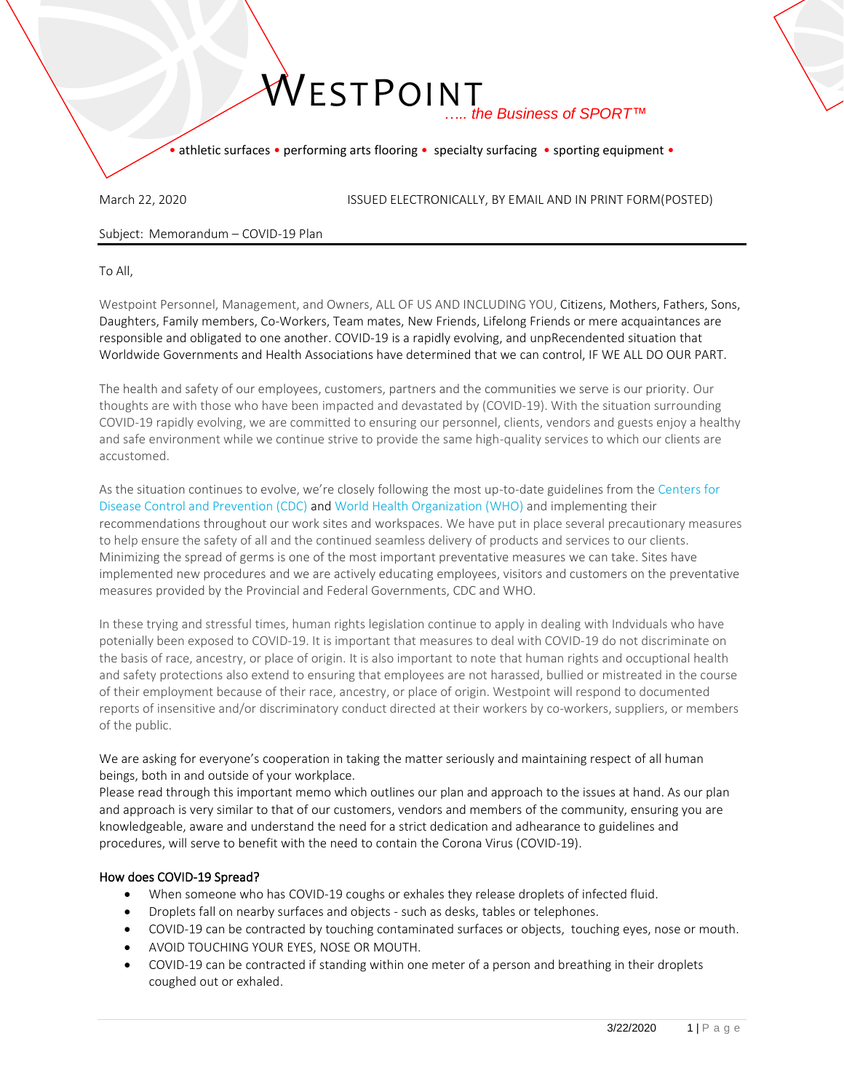• athletic surfaces • performing arts flooring • specialty surfacing • sporting equipment •

March 22, 2020 **ISSUED ELECTRONICALLY, BY EMAIL AND IN PRINT FORM(POSTED)** 

Subject: Memorandum – COVID-19 Plan

To All,

Westpoint Personnel, Management, and Owners, ALL OF US AND INCLUDING YOU, Citizens, Mothers, Fathers, Sons, Daughters, Family members, Co-Workers, Team mates, New Friends, Lifelong Friends or mere acquaintances are responsible and obligated to one another. COVID-19 is a rapidly evolving, and unpRecendented situation that Worldwide Governments and Health Associations have determined that we can control, IF WE ALL DO OUR PART.

The health and safety of our employees, customers, partners and the communities we serve is our priority. Our thoughts are with those who have been impacted and devastated by (COVID-19). With the situation surrounding COVID-19 rapidly evolving, we are committed to ensuring our personnel, clients, vendors and guests enjoy a healthy and safe environment while we continue strive to provide the same high-quality services to which our clients are accustomed.

As the situation continues to evolve, we're closely following the most up-to-date guidelines from the Centers for Disease Control and Prevention (CDC) and World Health Organization (WHO) and implementing their recommendations throughout our work sites and workspaces. We have put in place several precautionary measures to help ensure the safety of all and the continued seamless delivery of products and services to our clients. Minimizing the spread of germs is one of the most important preventative measures we can take. Sites have implemented new procedures and we are actively educating employees, visitors and customers on the preventative measures provided by the Provincial and Federal Governments, CDC and WHO.

In these trying and stressful times, human rights legislation continue to apply in dealing with Indviduals who have potenially been exposed to COVID‐19. It is important that measures to deal with COVID‐19 do not discriminate on the basis of race, ancestry, or place of origin. It is also important to note that human rights and occuptional health and safety protections also extend to ensuring that employees are not harassed, bullied or mistreated in the course of their employment because of their race, ancestry, or place of origin. Westpoint will respond to documented reports of insensitive and/or discriminatory conduct directed at their workers by co-workers, suppliers, or members of the public.

We are asking for everyone's cooperation in taking the matter seriously and maintaining respect of all human beings, both in and outside of your workplace.

Please read through this important memo which outlines our plan and approach to the issues at hand. As our plan and approach is very similar to that of our customers, vendors and members of the community, ensuring you are knowledgeable, aware and understand the need for a strict dedication and adhearance to guidelines and procedures, will serve to benefit with the need to contain the Corona Virus (COVID-19).

### How does COVID-19 Spread?

- When someone who has COVID-19 coughs or exhales they release droplets of infected fluid.
- Droplets fall on nearby surfaces and objects such as desks, tables or telephones.
- COVID-19 can be contracted by touching contaminated surfaces or objects, touching eyes, nose or mouth.
- AVOID TOUCHING YOUR EYES, NOSE OR MOUTH.
- COVID-19 can be contracted if standing within one meter of a person and breathing in their droplets coughed out or exhaled.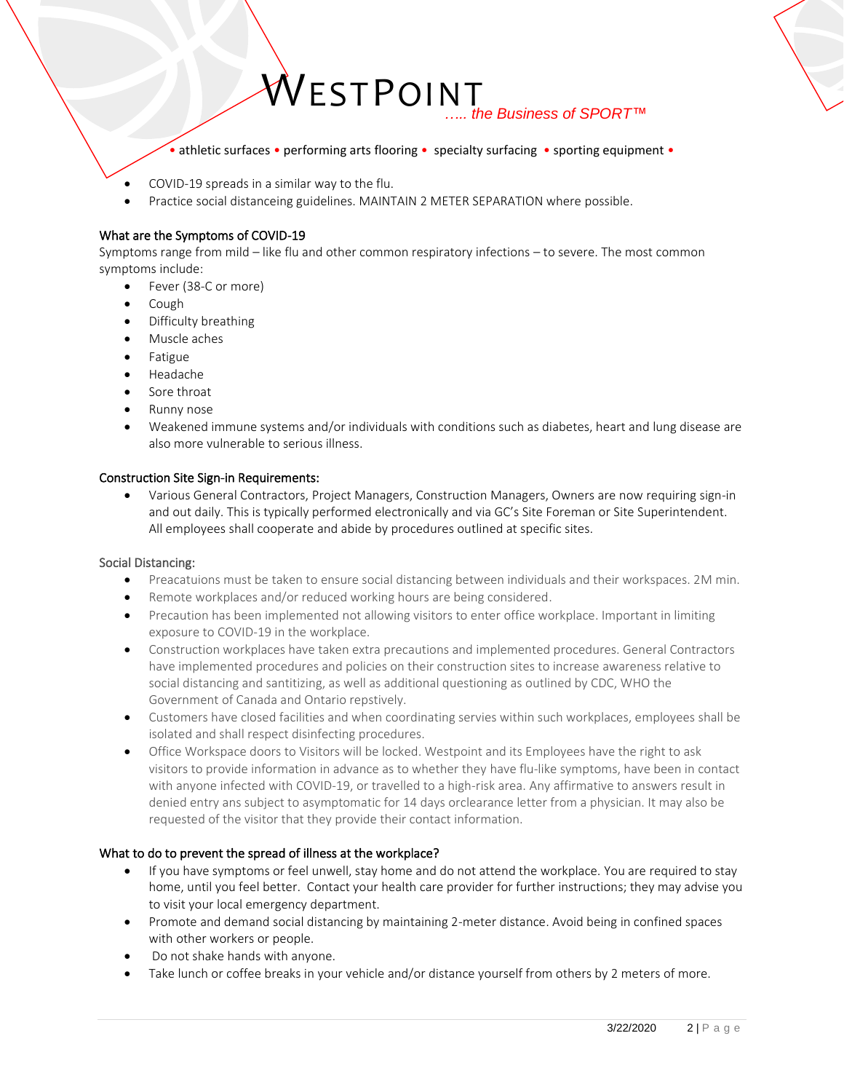• athletic surfaces • performing arts flooring • specialty surfacing • sporting equipment •

- COVID-19 spreads in a similar way to the flu.
- Practice social distanceing guidelines. MAINTAIN 2 METER SEPARATION where possible.

#### What are the Symptoms of COVID-19

Symptoms range from mild – like flu and other common respiratory infections – to severe. The most common symptoms include:

- Fever (38-C or more)
- Cough
- Difficulty breathing
- Muscle aches
- **Fatigue**
- Headache
- Sore throat
- Runny nose
- Weakened immune systems and/or individuals with conditions such as diabetes, heart and lung disease are also more vulnerable to serious illness.

#### Construction Site Sign-in Requirements:

• Various General Contractors, Project Managers, Construction Managers, Owners are now requiring sign-in and out daily. This is typically performed electronically and via GC's Site Foreman or Site Superintendent. All employees shall cooperate and abide by procedures outlined at specific sites.

#### Social Distancing:

- Preacatuions must be taken to ensure social distancing between individuals and their workspaces. 2M min.
- Remote workplaces and/or reduced working hours are being considered.
- Precaution has been implemented not allowing visitors to enter office workplace. Important in limiting exposure to COVID‐19 in the workplace.
- Construction workplaces have taken extra precautions and implemented procedures. General Contractors have implemented procedures and policies on their construction sites to increase awareness relative to social distancing and santitizing, as well as additional questioning as outlined by CDC, WHO the Government of Canada and Ontario repstively.
- Customers have closed facilities and when coordinating servies within such workplaces, employees shall be isolated and shall respect disinfecting procedures.
- Office Workspace doors to Visitors will be locked. Westpoint and its Employees have the right to ask visitors to provide information in advance as to whether they have flu‐like symptoms, have been in contact with anyone infected with COVID-19, or travelled to a high-risk area. Any affirmative to answers result in denied entry ans subject to asymptomatic for 14 days orclearance letter from a physician. It may also be requested of the visitor that they provide their contact information.

### What to do to prevent the spread of illness at the workplace?

- If you have symptoms or feel unwell, stay home and do not attend the workplace. You are required to stay home, until you feel better. Contact your health care provider for further instructions; they may advise you to visit your local emergency department.
- Promote and demand social distancing by maintaining 2-meter distance. Avoid being in confined spaces with other workers or people.
- Do not shake hands with anyone.
- Take lunch or coffee breaks in your vehicle and/or distance yourself from others by 2 meters of more.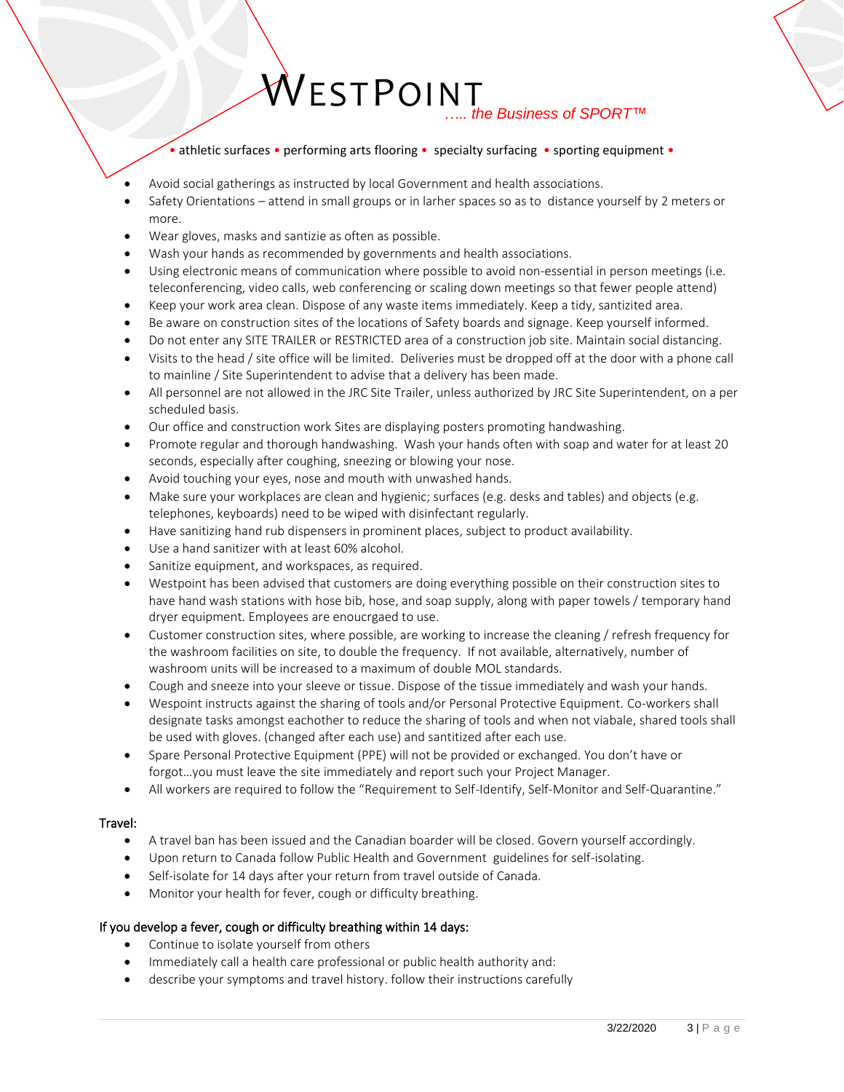• athletic surfaces • performing arts flooring • specialty surfacing • sporting equipment •

- Avoid social gatherings as instructed by local Government and health associations.
- Safety Orientations attend in small groups or in larher spaces so as to distance yourself by 2 meters or more.
- Wear gloves, masks and santizie as often as possible.
- Wash your hands as recommended by governments and health associations.
- Using electronic means of communication where possible to avoid non-essential in person meetings (i.e. teleconferencing, video calls, web conferencing or scaling down meetings so that fewer people attend)
- Keep your work area clean. Dispose of any waste items immediately. Keep a tidy, santizited area.
- Be aware on construction sites of the locations of Safety boards and signage. Keep yourself informed.
- Do not enter any SITE TRAILER or RESTRICTED area of a construction job site. Maintain social distancing.
- Visits to the head / site office will be limited. Deliveries must be dropped off at the door with a phone call to mainline / Site Superintendent to advise that a delivery has been made.
- All personnel are not allowed in the JRC Site Trailer, unless authorized by JRC Site Superintendent, on a per scheduled basis.
- Our office and construction work Sites are displaying posters promoting handwashing.
- Promote regular and thorough handwashing. Wash your hands often with soap and water for at least 20 seconds, especially after coughing, sneezing or blowing your nose.
- Avoid touching your eyes, nose and mouth with unwashed hands.
- Make sure your workplaces are clean and hygienic; surfaces (e.g. desks and tables) and objects (e.g. telephones, keyboards) need to be wiped with disinfectant regularly.
- Have sanitizing hand rub dispensers in prominent places, subject to product availability.
- Use a hand sanitizer with at least 60% alcohol.
- Sanitize equipment, and workspaces, as required.
- Westpoint has been advised that customers are doing everything possible on their construction sites to have hand wash stations with hose bib, hose, and soap supply, along with paper towels / temporary hand dryer equipment. Employees are enoucrgaed to use.
- Customer construction sites, where possible, are working to increase the cleaning / refresh frequency for the washroom facilities on site, to double the frequency. If not available, alternatively, number of washroom units will be increased to a maximum of double MOL standards.
- Cough and sneeze into your sleeve or tissue. Dispose of the tissue immediately and wash your hands.
- Wespoint instructs against the sharing of tools and/or Personal Protective Equipment. Co-workers shall designate tasks amongst eachother to reduce the sharing of tools and when not viabale, shared tools shall be used with gloves. (changed after each use) and santitized after each use.
- Spare Personal Protective Equipment (PPE) will not be provided or exchanged. You don't have or forgot…you must leave the site immediately and report such your Project Manager.
- All workers are required to follow the "Requirement to Self-Identify, Self-Monitor and Self-Quarantine."

### Travel:

- A travel ban has been issued and the Canadian boarder will be closed. Govern yourself accordingly.
- Upon return to Canada follow Public Health and Government guidelines for self-isolating.
- Self-isolate for 14 days after your return from travel outside of Canada.
- Monitor your health for fever, cough or difficulty breathing.

### If you develop a fever, cough or difficulty breathing within 14 days:

- Continue to isolate yourself from others
- Immediately call a health care professional or public health authority and:
- describe your symptoms and travel history. follow their instructions carefully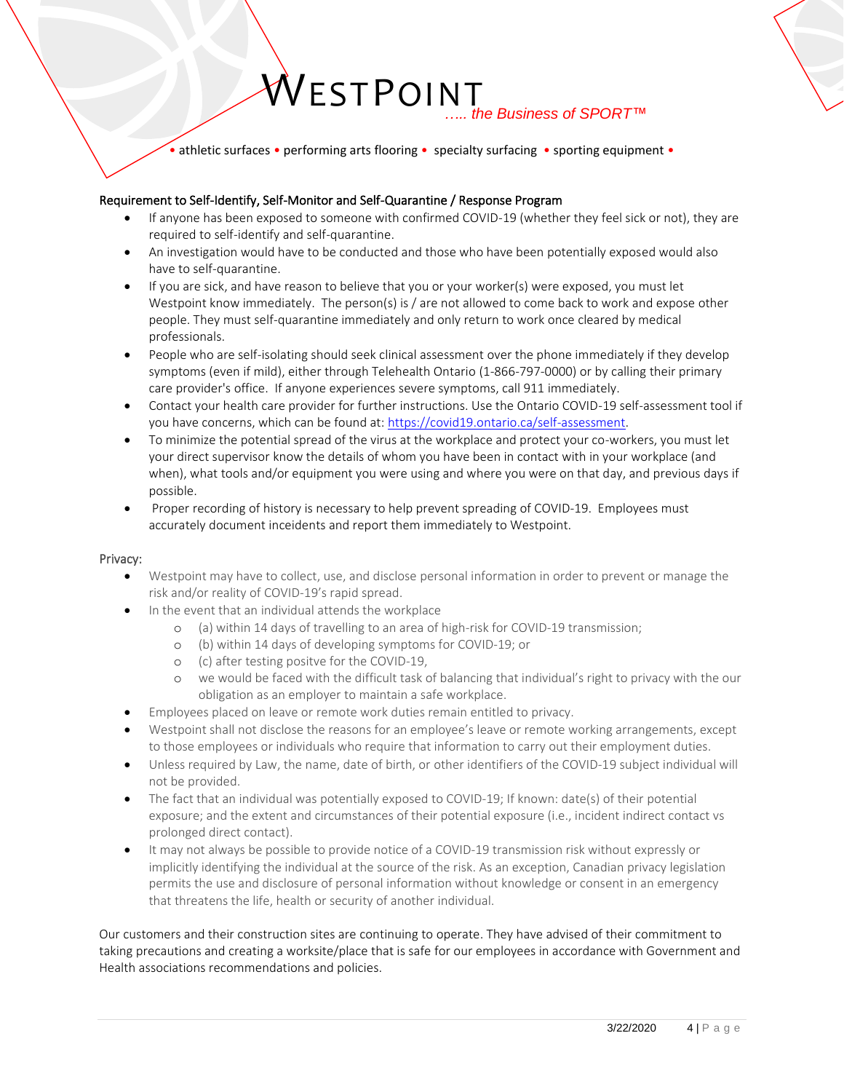• athletic surfaces • performing arts flooring • specialty surfacing • sporting equipment •

### Requirement to Self-Identify, Self-Monitor and Self-Quarantine / Response Program

- If anyone has been exposed to someone with confirmed COVID-19 (whether they feel sick or not), they are required to self-identify and self-quarantine.
- An investigation would have to be conducted and those who have been potentially exposed would also have to self-quarantine.
- If you are sick, and have reason to believe that you or your worker(s) were exposed, you must let Westpoint know immediately. The person(s) is / are not allowed to come back to work and expose other people. They must self-quarantine immediately and only return to work once cleared by medical professionals.
- People who are self-isolating should seek clinical assessment over the phone immediately if they develop symptoms (even if mild), either through Telehealth Ontario (1-866-797-0000) or by calling their primary care provider's office. If anyone experiences severe symptoms, call 911 immediately.
- Contact your health care provider for further instructions. Use the Ontario COVID-19 self-assessment tool if you have concerns, which can be found at[: https://covid19.ontario.ca/self-assessment.](https://covid19.ontario.ca/self-assessment)
- To minimize the potential spread of the virus at the workplace and protect your co-workers, you must let your direct supervisor know the details of whom you have been in contact with in your workplace (and when), what tools and/or equipment you were using and where you were on that day, and previous days if possible.
- Proper recording of history is necessary to help prevent spreading of COVID-19. Employees must accurately document inceidents and report them immediately to Westpoint.

### Privacy:

- Westpoint may have to collect, use, and disclose personal information in order to prevent or manage the risk and/or reality of COVID‐19's rapid spread.
- In the event that an individual attends the workplace
	- o (a) within 14 days of travelling to an area of high‐risk for COVID‐19 transmission;
	- o (b) within 14 days of developing symptoms for COVID‐19; or
	- o (c) after testing positve for the COVID‐19,
	- o we would be faced with the difficult task of balancing that individual's right to privacy with the our obligation as an employer to maintain a safe workplace.
- Employees placed on leave or remote work duties remain entitled to privacy.
- Westpoint shall not disclose the reasons for an employee's leave or remote working arrangements, except to those employees or individuals who require that information to carry out their employment duties.
- Unless required by Law, the name, date of birth, or other identifiers of the COVID‐19 subject individual will not be provided.
- The fact that an individual was potentially exposed to COVID-19; If known: date(s) of their potential exposure; and the extent and circumstances of their potential exposure (i.e., incident indirect contact vs prolonged direct contact).
- It may not always be possible to provide notice of a COVID-19 transmission risk without expressly or implicitly identifying the individual at the source of the risk. As an exception, Canadian privacy legislation permits the use and disclosure of personal information without knowledge or consent in an emergency that threatens the life, health or security of another individual.

Our customers and their construction sites are continuing to operate. They have advised of their commitment to taking precautions and creating a worksite/place that is safe for our employees in accordance with Government and Health associations recommendations and policies.